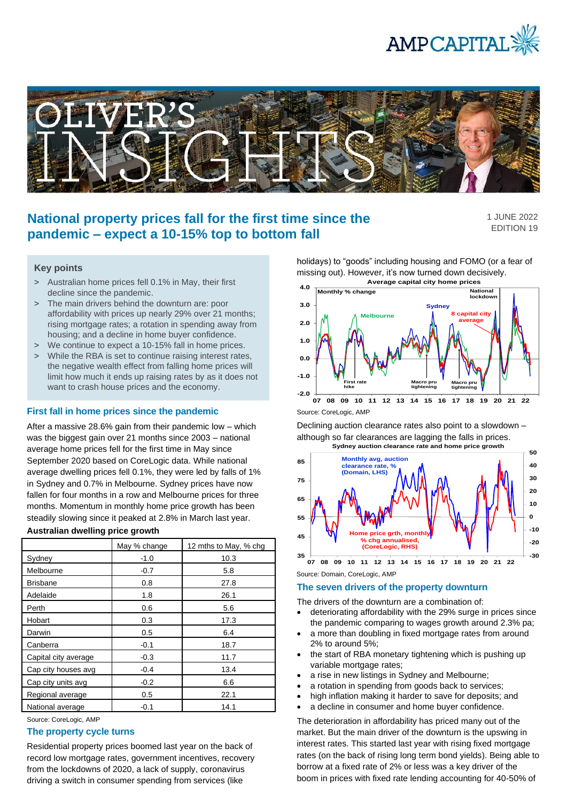



# **National property prices fall for the first time since the pandemic – expect a 10-15% top to bottom fall**

1 JUNE 2022 EDITION 19

# **Key points**

- > Australian home prices fell 0.1% in May, their first decline since the pandemic.
- > The main drivers behind the downturn are: poor affordability with prices up nearly 29% over 21 months; rising mortgage rates; a rotation in spending away from housing; and a decline in home buyer confidence.
- > We continue to expect a 10-15% fall in home prices.
- > While the RBA is set to continue raising interest rates, the negative wealth effect from falling home prices will limit how much it ends up raising rates by as it does not want to crash house prices and the economy.

# **First fall in home prices since the pandemic**

After a massive 28.6% gain from their pandemic low – which was the biggest gain over 21 months since 2003 – national average home prices fell for the first time in May since September 2020 based on CoreLogic data. While national average dwelling prices fell 0.1%, they were led by falls of 1% in Sydney and 0.7% in Melbourne. Sydney prices have now fallen for four months in a row and Melbourne prices for three months. Momentum in monthly home price growth has been steadily slowing since it peaked at 2.8% in March last year.

### **Australian dwelling price growth**

|                      | May % change | 12 mths to May, % chg |
|----------------------|--------------|-----------------------|
| Sydney               | $-1.0$       | 10.3                  |
| Melbourne            | $-0.7$       | 5.8                   |
| <b>Brisbane</b>      | 0.8          | 27.8                  |
| Adelaide             | 1.8          | 26.1                  |
| Perth                | 0.6          | 5.6                   |
| Hobart               | 0.3          | 17.3                  |
| Darwin               | 0.5          | 6.4                   |
| Canberra             | $-0.1$       | 18.7                  |
| Capital city average | $-0.3$       | 11.7                  |
| Cap city houses avg  | $-0.4$       | 13.4                  |
| Cap city units avg   | $-0.2$       | 6.6                   |
| Regional average     | 0.5          | 22.1                  |
| National average     | $-0.1$       | 14.1                  |

Source: CoreLogic, AMP

# **The property cycle turns**

Residential property prices boomed last year on the back of record low mortgage rates, government incentives, recovery from the lockdowns of 2020, a lack of supply, coronavirus driving a switch in consumer spending from services (like

holidays) to "goods" including housing and FOMO (or a fear of missing out). However, it's now turned down decisively. **Average capital city home prices**



Source: CoreLogic, AMP

Declining auction clearance rates also point to a slowdown – although so far clearances are lagging the falls in prices.



Source: Domain, CoreLogic, AMP

# **The seven drivers of the property downturn**

The drivers of the downturn are a combination of:

- deteriorating affordability with the 29% surge in prices since the pandemic comparing to wages growth around 2.3% pa;
- a more than doubling in fixed mortgage rates from around 2% to around 5%;
- the start of RBA monetary tightening which is pushing up variable mortgage rates;
- a rise in new listings in Sydney and Melbourne;
- a rotation in spending from goods back to services;
- high inflation making it harder to save for deposits; and
- a decline in consumer and home buyer confidence.

The deterioration in affordability has priced many out of the market. But the main driver of the downturn is the upswing in interest rates. This started last year with rising fixed mortgage rates (on the back of rising long term bond yields). Being able to borrow at a fixed rate of 2% or less was a key driver of the boom in prices with fixed rate lending accounting for 40-50% of